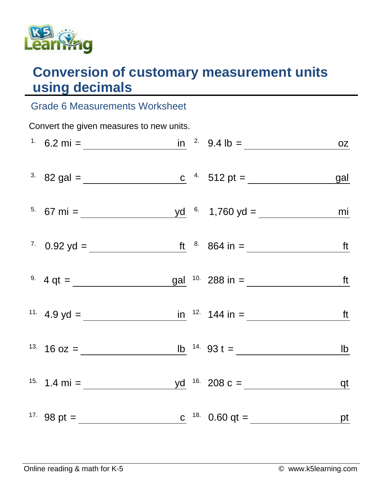

## **Conversion of customary measurement units using decimals**

## Grade 6 Measurements Worksheet

| Convert the given measures to new units. |  |  |  |                                                                                         |  |  |  |  |  |
|------------------------------------------|--|--|--|-----------------------------------------------------------------------------------------|--|--|--|--|--|
|                                          |  |  |  | <sup>1</sup> 6.2 mi = $\frac{\ln 2.94 \text{ lb}}{2} = 0.2 \text{ lb}}$                 |  |  |  |  |  |
|                                          |  |  |  | <sup>3.</sup> 82 gal = <u>c <sup>4</sup></u> 512 pt = gal                               |  |  |  |  |  |
|                                          |  |  |  | <sup>5.</sup> 67 mi = $\underline{\qquad \qquad}$ yd <sup>6.</sup> 1,760 yd = <u>mi</u> |  |  |  |  |  |
|                                          |  |  |  | <sup>7</sup> 0.92 yd = <u>ft</u> <sup>8</sup> 864 in = <u>ft</u>                        |  |  |  |  |  |
|                                          |  |  |  | <sup>9</sup> $4 qt =$ <u>gal</u> <sup>10</sup> 288 in =                                 |  |  |  |  |  |
|                                          |  |  |  | <sup>11</sup> 4.9 yd = $\frac{1}{\sqrt{11}}$ 144 in = $\frac{1}{\sqrt{11}}$ 144 in =    |  |  |  |  |  |
|                                          |  |  |  | <sup>13.</sup> 16 oz = $\frac{1}{2}$ 16 oz = $\frac{1}{2}$ 14. 93 t = $\frac{1}{2}$     |  |  |  |  |  |
|                                          |  |  |  | <sup>15.</sup> 1.4 mi = $yd$ <sup>16.</sup> 208 c = $q$                                 |  |  |  |  |  |
|                                          |  |  |  | <sup>17.</sup> 98 pt = <u>c</u> <sup>18.</sup> 0.60 qt = <u>pt</u>                      |  |  |  |  |  |